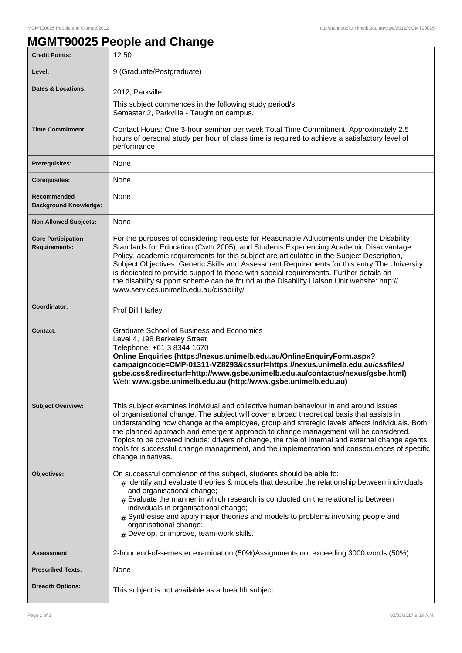## **MGMT90025 People and Change**

| <b>Credit Points:</b>                             | 12.50                                                                                                                                                                                                                                                                                                                                                                                                                                                                                                                                                                                                              |
|---------------------------------------------------|--------------------------------------------------------------------------------------------------------------------------------------------------------------------------------------------------------------------------------------------------------------------------------------------------------------------------------------------------------------------------------------------------------------------------------------------------------------------------------------------------------------------------------------------------------------------------------------------------------------------|
| Level:                                            | 9 (Graduate/Postgraduate)                                                                                                                                                                                                                                                                                                                                                                                                                                                                                                                                                                                          |
| Dates & Locations:                                | 2012, Parkville<br>This subject commences in the following study period/s:<br>Semester 2, Parkville - Taught on campus.                                                                                                                                                                                                                                                                                                                                                                                                                                                                                            |
| <b>Time Commitment:</b>                           | Contact Hours: One 3-hour seminar per week Total Time Commitment: Approximately 2.5<br>hours of personal study per hour of class time is required to achieve a satisfactory level of<br>performance                                                                                                                                                                                                                                                                                                                                                                                                                |
| <b>Prerequisites:</b>                             | None                                                                                                                                                                                                                                                                                                                                                                                                                                                                                                                                                                                                               |
| <b>Corequisites:</b>                              | None                                                                                                                                                                                                                                                                                                                                                                                                                                                                                                                                                                                                               |
| Recommended<br><b>Background Knowledge:</b>       | None                                                                                                                                                                                                                                                                                                                                                                                                                                                                                                                                                                                                               |
| <b>Non Allowed Subjects:</b>                      | None                                                                                                                                                                                                                                                                                                                                                                                                                                                                                                                                                                                                               |
| <b>Core Participation</b><br><b>Requirements:</b> | For the purposes of considering requests for Reasonable Adjustments under the Disability<br>Standards for Education (Cwth 2005), and Students Experiencing Academic Disadvantage<br>Policy, academic requirements for this subject are articulated in the Subject Description,<br>Subject Objectives, Generic Skills and Assessment Requirements for this entry. The University<br>is dedicated to provide support to those with special requirements. Further details on<br>the disability support scheme can be found at the Disability Liaison Unit website: http://<br>www.services.unimelb.edu.au/disability/ |
| Coordinator:                                      | Prof Bill Harley                                                                                                                                                                                                                                                                                                                                                                                                                                                                                                                                                                                                   |
| <b>Contact:</b>                                   | Graduate School of Business and Economics<br>Level 4, 198 Berkeley Street<br>Telephone: +61 3 8344 1670<br>Online Enquiries (https://nexus.unimelb.edu.au/OnlineEnquiryForm.aspx?<br>campaigncode=CMP-01311-VZ8293&cssurl=https://nexus.unimelb.edu.au/cssfiles/<br>gsbe.css&redirecturl=http://www.gsbe.unimelb.edu.au/contactus/nexus/gsbe.html)<br>Web: www.gsbe.unimelb.edu.au (http://www.gsbe.unimelb.edu.au)                                                                                                                                                                                                |
| <b>Subject Overview:</b>                          | This subject examines individual and collective human behaviour in and around issues<br>of organisational change. The subject will cover a broad theoretical basis that assists in<br>understanding how change at the employee, group and strategic levels affects individuals. Both<br>the planned approach and emergent approach to change management will be considered.<br>Topics to be covered include: drivers of change, the role of internal and external change agents,<br>tools for successful change management, and the implementation and consequences of specific<br>change initiatives.             |
| Objectives:                                       | On successful completion of this subject, students should be able to:<br>$#$ Identify and evaluate theories & models that describe the relationship between individuals<br>and organisational change;<br>$*$ Evaluate the manner in which research is conducted on the relationship between<br>individuals in organisational change;<br>$#$ Synthesise and apply major theories and models to problems involving people and<br>organisational change;<br># Develop, or improve, team-work skills.                                                                                                                  |
| <b>Assessment:</b>                                | 2-hour end-of-semester examination (50%) Assignments not exceeding 3000 words (50%)                                                                                                                                                                                                                                                                                                                                                                                                                                                                                                                                |
| <b>Prescribed Texts:</b>                          | None                                                                                                                                                                                                                                                                                                                                                                                                                                                                                                                                                                                                               |
| <b>Breadth Options:</b>                           | This subject is not available as a breadth subject.                                                                                                                                                                                                                                                                                                                                                                                                                                                                                                                                                                |